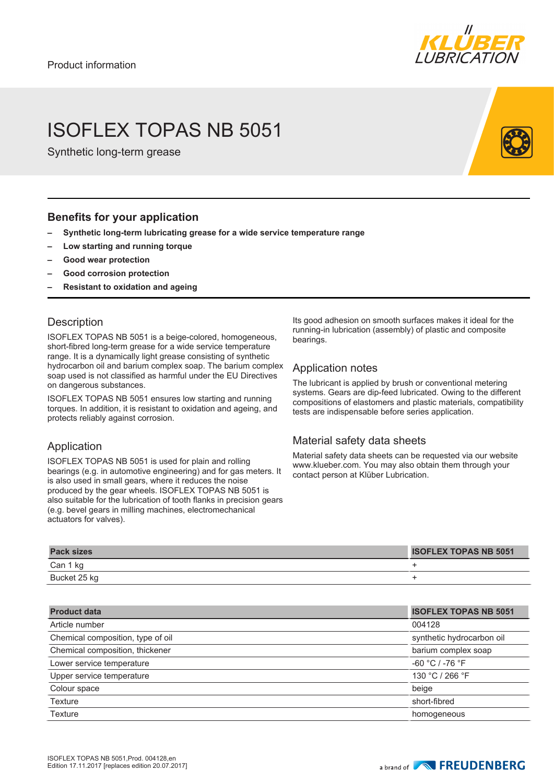

# ISOFLEX TOPAS NB 5051

Synthetic long-term grease

#### **Benefits for your application**

- **– Synthetic long-term lubricating grease for a wide service temperature range**
- **– Low starting and running torque**
- **– Good wear protection**
- **– Good corrosion protection**
- **– Resistant to oxidation and ageing**

#### **Description**

ISOFLEX TOPAS NB 5051 is a beige-colored, homogeneous, short-fibred long-term grease for a wide service temperature range. It is a dynamically light grease consisting of synthetic hydrocarbon oil and barium complex soap. The barium complex soap used is not classified as harmful under the EU Directives on dangerous substances.

ISOFLEX TOPAS NB 5051 ensures low starting and running torques. In addition, it is resistant to oxidation and ageing, and protects reliably against corrosion.

### Application

ISOFLEX TOPAS NB 5051 is used for plain and rolling bearings (e.g. in automotive engineering) and for gas meters. It is also used in small gears, where it reduces the noise produced by the gear wheels. ISOFLEX TOPAS NB 5051 is also suitable for the lubrication of tooth flanks in precision gears (e.g. bevel gears in milling machines, electromechanical actuators for valves).

Its good adhesion on smooth surfaces makes it ideal for the running-in lubrication (assembly) of plastic and composite bearings.

#### Application notes

The lubricant is applied by brush or conventional metering systems. Gears are dip-feed lubricated. Owing to the different compositions of elastomers and plastic materials, compatibility tests are indispensable before series application.

### Material safety data sheets

Material safety data sheets can be requested via our website www.klueber.com. You may also obtain them through your contact person at Klüber Lubrication.

| <b>Pack sizes</b> | <b>ISOFLEX TOPAS NB 5051</b> |
|-------------------|------------------------------|
| Can 1 kg          |                              |
| Bucket 25 kg      |                              |

| <b>Product data</b>               | <b>ISOFLEX TOPAS NB 5051</b> |
|-----------------------------------|------------------------------|
| Article number                    | 004128                       |
| Chemical composition, type of oil | synthetic hydrocarbon oil    |
| Chemical composition, thickener   | barium complex soap          |
| Lower service temperature         | $-60 °C / -76 °F$            |
| Upper service temperature         | 130 °C / 266 °F              |
| Colour space                      | beige                        |
| Texture                           | short-fibred                 |
| <b>Texture</b>                    | homogeneous                  |